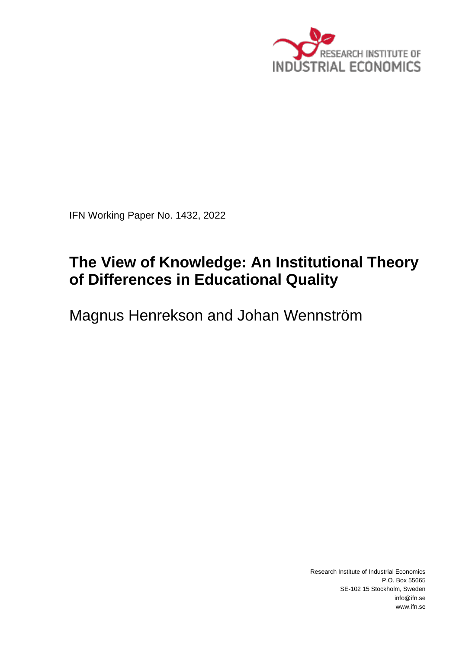

IFN Working Paper No. 1432, 2022

# **The View of Knowledge: An Institutional Theory of Differences in Educational Quality**

Magnus Henrekson and Johan Wennström

Research Institute of Industrial Economics P.O. Box 55665 SE-102 15 Stockholm, Sweden info@ifn.se www.ifn.se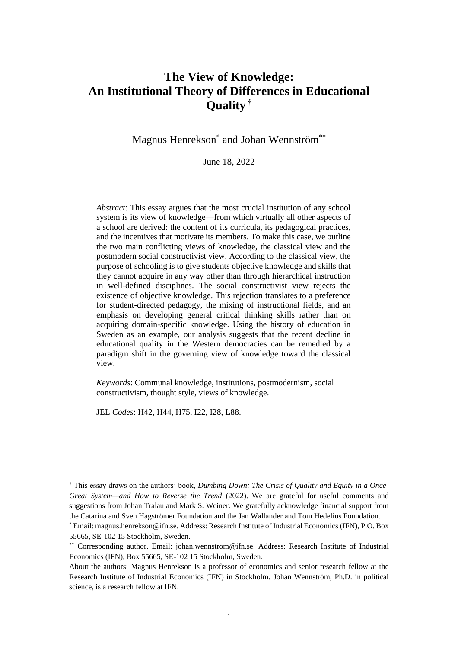## **The View of Knowledge: An Institutional Theory of Differences in Educational Quality †**

Magnus Henrekson\* and Johan Wennström\*\*

June 18, 2022

*Abstract*: This essay argues that the most crucial institution of any school system is its view of knowledge—from which virtually all other aspects of a school are derived: the content of its curricula, its pedagogical practices, and the incentives that motivate its members. To make this case, we outline the two main conflicting views of knowledge, the classical view and the postmodern social constructivist view. According to the classical view, the purpose of schooling is to give students objective knowledge and skills that they cannot acquire in any way other than through hierarchical instruction in well-defined disciplines. The social constructivist view rejects the existence of objective knowledge. This rejection translates to a preference for student-directed pedagogy, the mixing of instructional fields, and an emphasis on developing general critical thinking skills rather than on acquiring domain-specific knowledge. Using the history of education in Sweden as an example, our analysis suggests that the recent decline in educational quality in the Western democracies can be remedied by a paradigm shift in the governing view of knowledge toward the classical view.

*Keywords*: Communal knowledge, institutions, postmodernism, social constructivism, thought style, views of knowledge.

JEL *Codes*: H42, H44, H75, I22, I28, L88.

<sup>†</sup> This essay draws on the authors' book, *Dumbing Down: The Crisis of Quality and Equity in a Once-Great System—and How to Reverse the Trend* (2022). We are grateful for useful comments and suggestions from Johan Tralau and Mark S. Weiner. We gratefully acknowledge financial support from the Catarina and Sven Hagströmer Foundation and the Jan Wallander and Tom Hedelius Foundation.

<sup>\*</sup> Email: magnus.henrekson@ifn.se. Address: Research Institute of Industrial Economics (IFN), P.O. Box 55665, SE-102 15 Stockholm, Sweden.

<sup>\*\*</sup> Corresponding author. Email: johan.wennstrom@ifn.se. Address: Research Institute of Industrial Economics (IFN), Box 55665, SE-102 15 Stockholm, Sweden.

About the authors: Magnus Henrekson is a professor of economics and senior research fellow at the Research Institute of Industrial Economics (IFN) in Stockholm. Johan Wennström, Ph.D. in political science, is a research fellow at IFN.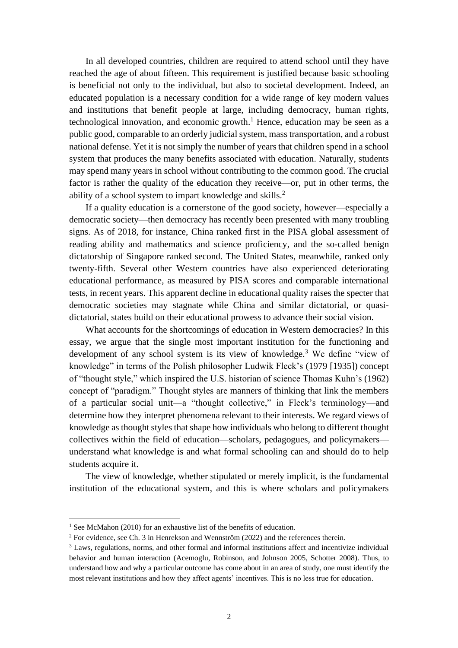In all developed countries, children are required to attend school until they have reached the age of about fifteen. This requirement is justified because basic schooling is beneficial not only to the individual, but also to societal development. Indeed, an educated population is a necessary condition for a wide range of key modern values and institutions that benefit people at large, including democracy, human rights, technological innovation, and economic growth. <sup>1</sup> Hence, education may be seen as a public good, comparable to an orderly judicial system, mass transportation, and a robust national defense. Yet it is not simply the number of years that children spend in a school system that produces the many benefits associated with education. Naturally, students may spend many years in school without contributing to the common good. The crucial factor is rather the quality of the education they receive—or, put in other terms, the ability of a school system to impart knowledge and skills.<sup>2</sup>

If a quality education is a cornerstone of the good society, however—especially a democratic society—then democracy has recently been presented with many troubling signs. As of 2018, for instance, China ranked first in the PISA global assessment of reading ability and mathematics and science proficiency, and the so-called benign dictatorship of Singapore ranked second. The United States, meanwhile, ranked only twenty-fifth. Several other Western countries have also experienced deteriorating educational performance, as measured by PISA scores and comparable international tests, in recent years. This apparent decline in educational quality raises the specter that democratic societies may stagnate while China and similar dictatorial, or quasidictatorial, states build on their educational prowess to advance their social vision.

What accounts for the shortcomings of education in Western democracies? In this essay, we argue that the single most important institution for the functioning and development of any school system is its view of knowledge. <sup>3</sup> We define "view of knowledge" in terms of the Polish philosopher Ludwik Fleck's (1979 [1935]) concept of "thought style," which inspired the U.S. historian of science Thomas Kuhn's (1962) concept of "paradigm." Thought styles are manners of thinking that link the members of a particular social unit—a "thought collective," in Fleck's terminology—and determine how they interpret phenomena relevant to their interests. We regard views of knowledge as thought styles that shape how individuals who belong to different thought collectives within the field of education—scholars, pedagogues, and policymakers understand what knowledge is and what formal schooling can and should do to help students acquire it.

The view of knowledge, whether stipulated or merely implicit, is the fundamental institution of the educational system, and this is where scholars and policymakers

<sup>&</sup>lt;sup>1</sup> See McMahon (2010) for an exhaustive list of the benefits of education.

<sup>&</sup>lt;sup>2</sup> For evidence, see Ch. 3 in Henrekson and Wennström (2022) and the references therein.

<sup>3</sup> Laws, regulations, norms, and other formal and informal institutions affect and incentivize individual behavior and human interaction (Acemoglu, Robinson, and Johnson 2005, Schotter 2008). Thus, to understand how and why a particular outcome has come about in an area of study, one must identify the most relevant institutions and how they affect agents' incentives. This is no less true for education.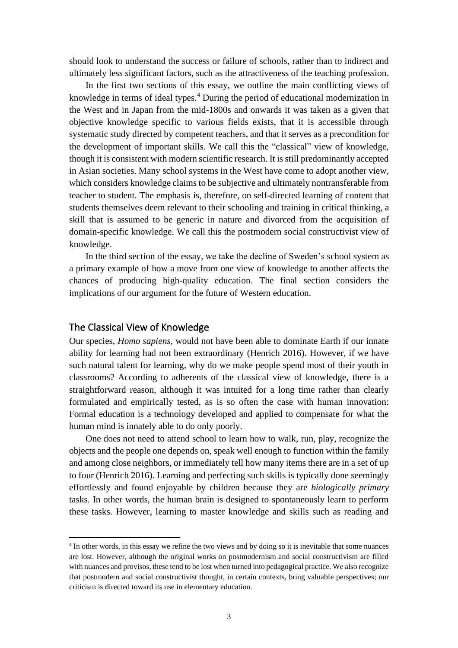should look to understand the success or failure of schools, rather than to indirect and ultimately less significant factors, such as the attractiveness of the teaching profession.

In the first two sections of this essay, we outline the main conflicting views of knowledge in terms of ideal types. <sup>4</sup> During the period of educational modernization in the West and in Japan from the mid-1800s and onwards it was taken as a given that objective knowledge specific to various fields exists, that it is accessible through systematic study directed by competent teachers, and that it serves as a precondition for the development of important skills. We call this the "classical" view of knowledge, though it is consistent with modern scientific research. It is still predominantly accepted in Asian societies. Many school systems in the West have come to adopt another view, which considers knowledge claims to be subjective and ultimately nontransferable from teacher to student. The emphasis is, therefore, on self-directed learning of content that students themselves deem relevant to their schooling and training in critical thinking, a skill that is assumed to be generic in nature and divorced from the acquisition of domain-specific knowledge. We call this the postmodern social constructivist view of knowledge.

In the third section of the essay, we take the decline of Sweden's school system as a primary example of how a move from one view of knowledge to another affects the chances of producing high-quality education. The final section considers the implications of our argument for the future of Western education.

## The Classical View of Knowledge

Our species, *Homo sapiens*, would not have been able to dominate Earth if our innate ability for learning had not been extraordinary (Henrich 2016). However, if we have such natural talent for learning, why do we make people spend most of their youth in classrooms? According to adherents of the classical view of knowledge, there is a straightforward reason, although it was intuited for a long time rather than clearly formulated and empirically tested, as is so often the case with human innovation: Formal education is a technology developed and applied to compensate for what the human mind is innately able to do only poorly.

One does not need to attend school to learn how to walk, run, play, recognize the objects and the people one depends on, speak well enough to function within the family and among close neighbors, or immediately tell how many items there are in a set of up to four (Henrich 2016). Learning and perfecting such skills is typically done seemingly effortlessly and found enjoyable by children because they are *biologically primary* tasks. In other words, the human brain is designed to spontaneously learn to perform these tasks. However, learning to master knowledge and skills such as reading and

<sup>4</sup> In other words, in this essay we refine the two views and by doing so it is inevitable that some nuances are lost. However, although the original works on postmodernism and social constructivism are filled with nuances and provisos, these tend to be lost when turned into pedagogical practice. We also recognize that postmodern and social constructivist thought, in certain contexts, bring valuable perspectives; our criticism is directed toward its use in elementary education.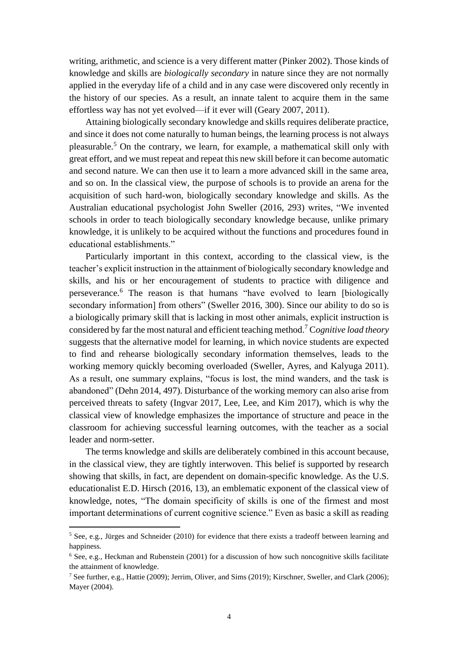writing, arithmetic, and science is a very different matter (Pinker 2002). Those kinds of knowledge and skills are *biologically secondary* in nature since they are not normally applied in the everyday life of a child and in any case were discovered only recently in the history of our species. As a result, an innate talent to acquire them in the same effortless way has not yet evolved—if it ever will (Geary 2007, 2011).

Attaining biologically secondary knowledge and skills requires deliberate practice, and since it does not come naturally to human beings, the learning process is not always pleasurable.<sup>5</sup> On the contrary, we learn, for example, a mathematical skill only with great effort, and we must repeat and repeat this new skill before it can become automatic and second nature. We can then use it to learn a more advanced skill in the same area, and so on. In the classical view, the purpose of schools is to provide an arena for the acquisition of such hard-won, biologically secondary knowledge and skills. As the Australian educational psychologist John Sweller (2016, 293) writes, "We invented schools in order to teach biologically secondary knowledge because, unlike primary knowledge, it is unlikely to be acquired without the functions and procedures found in educational establishments."

Particularly important in this context, according to the classical view, is the teacher's explicit instruction in the attainment of biologically secondary knowledge and skills, and his or her encouragement of students to practice with diligence and perseverance.<sup>6</sup> The reason is that humans "have evolved to learn [biologically secondary information] from others" (Sweller 2016, 300). Since our ability to do so is a biologically primary skill that is lacking in most other animals, explicit instruction is considered by far the most natural and efficient teaching method.<sup>7</sup> C*ognitive load theory* suggests that the alternative model for learning, in which novice students are expected to find and rehearse biologically secondary information themselves, leads to the working memory quickly becoming overloaded (Sweller, Ayres, and Kalyuga 2011). As a result, one summary explains, "focus is lost, the mind wanders, and the task is abandoned" (Dehn 2014, 497). Disturbance of the working memory can also arise from perceived threats to safety (Ingvar 2017, Lee, Lee, and Kim 2017), which is why the classical view of knowledge emphasizes the importance of structure and peace in the classroom for achieving successful learning outcomes, with the teacher as a social leader and norm-setter.

The terms knowledge and skills are deliberately combined in this account because, in the classical view, they are tightly interwoven. This belief is supported by research showing that skills, in fact, are dependent on domain-specific knowledge. As the U.S. educationalist E.D. Hirsch (2016, 13), an emblematic exponent of the classical view of knowledge, notes, "The domain specificity of skills is one of the firmest and most important determinations of current cognitive science." Even as basic a skill as reading

<sup>5</sup> See, e.g., Jürges and Schneider (2010) for evidence that there exists a tradeoff between learning and happiness.

<sup>6</sup> See, e.g., Heckman and Rubenstein (2001) for a discussion of how such noncognitive skills facilitate the attainment of knowledge.

<sup>7</sup> See further, e.g., Hattie (2009); Jerrim, Oliver, and Sims (2019); Kirschner, Sweller, and Clark (2006); Mayer (2004).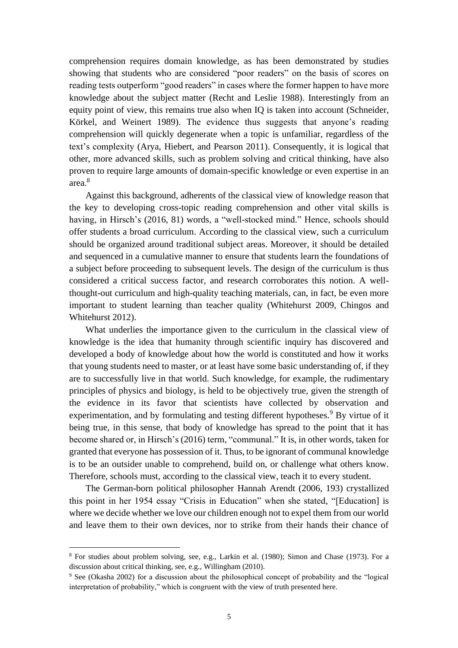comprehension requires domain knowledge, as has been demonstrated by studies showing that students who are considered "poor readers" on the basis of scores on reading tests outperform "good readers" in cases where the former happen to have more knowledge about the subject matter (Recht and Leslie 1988). Interestingly from an equity point of view, this remains true also when IQ is taken into account (Schneider, Körkel, and Weinert 1989). The evidence thus suggests that anyone's reading comprehension will quickly degenerate when a topic is unfamiliar, regardless of the text's complexity (Arya, Hiebert, and Pearson 2011). Consequently, it is logical that other, more advanced skills, such as problem solving and critical thinking, have also proven to require large amounts of domain-specific knowledge or even expertise in an area.<sup>8</sup>

Against this background, adherents of the classical view of knowledge reason that the key to developing cross-topic reading comprehension and other vital skills is having, in Hirsch's (2016, 81) words, a "well-stocked mind." Hence, schools should offer students a broad curriculum. According to the classical view, such a curriculum should be organized around traditional subject areas. Moreover, it should be detailed and sequenced in a cumulative manner to ensure that students learn the foundations of a subject before proceeding to subsequent levels. The design of the curriculum is thus considered a critical success factor, and research corroborates this notion. A wellthought-out curriculum and high-quality teaching materials, can, in fact, be even more important to student learning than teacher quality (Whitehurst 2009, Chingos and Whitehurst 2012).

What underlies the importance given to the curriculum in the classical view of knowledge is the idea that humanity through scientific inquiry has discovered and developed a body of knowledge about how the world is constituted and how it works that young students need to master, or at least have some basic understanding of, if they are to successfully live in that world. Such knowledge, for example, the rudimentary principles of physics and biology, is held to be objectively true, given the strength of the evidence in its favor that scientists have collected by observation and experimentation, and by formulating and testing different hypotheses.<sup>9</sup> By virtue of it being true, in this sense, that body of knowledge has spread to the point that it has become shared or, in Hirsch's (2016) term, "communal." It is, in other words, taken for granted that everyone has possession of it. Thus, to be ignorant of communal knowledge is to be an outsider unable to comprehend, build on, or challenge what others know. Therefore, schools must, according to the classical view, teach it to every student.

The German-born political philosopher Hannah Arendt (2006, 193) crystallized this point in her 1954 essay "Crisis in Education" when she stated, "[Education] is where we decide whether we love our children enough not to expel them from our world and leave them to their own devices, nor to strike from their hands their chance of

<sup>8</sup> For studies about problem solving, see, e.g., Larkin et al. (1980); Simon and Chase (1973). For a discussion about critical thinking, see, e.g., Willingham (2010).

<sup>9</sup> See (Okasha 2002) for a discussion about the philosophical concept of probability and the "logical interpretation of probability," which is congruent with the view of truth presented here.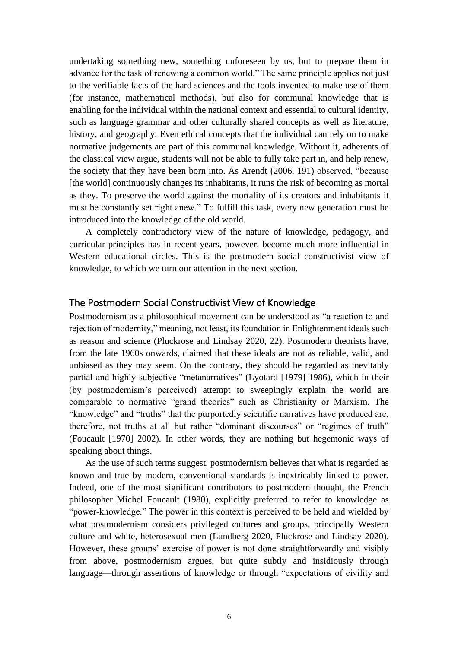undertaking something new, something unforeseen by us, but to prepare them in advance for the task of renewing a common world." The same principle applies not just to the verifiable facts of the hard sciences and the tools invented to make use of them (for instance, mathematical methods), but also for communal knowledge that is enabling for the individual within the national context and essential to cultural identity, such as language grammar and other culturally shared concepts as well as literature, history, and geography. Even ethical concepts that the individual can rely on to make normative judgements are part of this communal knowledge. Without it, adherents of the classical view argue, students will not be able to fully take part in, and help renew, the society that they have been born into. As Arendt (2006, 191) observed, "because [the world] continuously changes its inhabitants, it runs the risk of becoming as mortal as they. To preserve the world against the mortality of its creators and inhabitants it must be constantly set right anew." To fulfill this task, every new generation must be introduced into the knowledge of the old world.

A completely contradictory view of the nature of knowledge, pedagogy, and curricular principles has in recent years, however, become much more influential in Western educational circles. This is the postmodern social constructivist view of knowledge, to which we turn our attention in the next section.

## The Postmodern Social Constructivist View of Knowledge

Postmodernism as a philosophical movement can be understood as "a reaction to and rejection of modernity," meaning, not least, its foundation in Enlightenment ideals such as reason and science (Pluckrose and Lindsay 2020, 22). Postmodern theorists have, from the late 1960s onwards, claimed that these ideals are not as reliable, valid, and unbiased as they may seem. On the contrary, they should be regarded as inevitably partial and highly subjective "metanarratives" (Lyotard [1979] 1986), which in their (by postmodernism's perceived) attempt to sweepingly explain the world are comparable to normative "grand theories" such as Christianity or Marxism. The "knowledge" and "truths" that the purportedly scientific narratives have produced are, therefore, not truths at all but rather "dominant discourses" or "regimes of truth" (Foucault [1970] 2002). In other words, they are nothing but hegemonic ways of speaking about things.

As the use of such terms suggest, postmodernism believes that what is regarded as known and true by modern, conventional standards is inextricably linked to power. Indeed, one of the most significant contributors to postmodern thought, the French philosopher Michel Foucault (1980), explicitly preferred to refer to knowledge as "power-knowledge." The power in this context is perceived to be held and wielded by what postmodernism considers privileged cultures and groups, principally Western culture and white, heterosexual men (Lundberg 2020, Pluckrose and Lindsay 2020). However, these groups' exercise of power is not done straightforwardly and visibly from above, postmodernism argues, but quite subtly and insidiously through language—through assertions of knowledge or through "expectations of civility and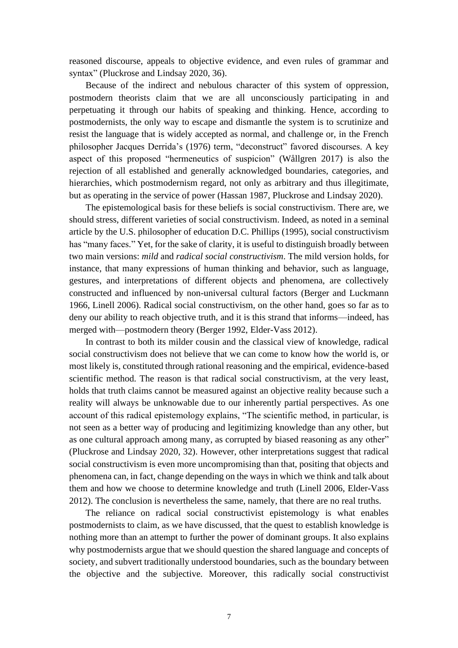reasoned discourse, appeals to objective evidence, and even rules of grammar and syntax" (Pluckrose and Lindsay 2020, 36).

Because of the indirect and nebulous character of this system of oppression, postmodern theorists claim that we are all unconsciously participating in and perpetuating it through our habits of speaking and thinking. Hence, according to postmodernists, the only way to escape and dismantle the system is to scrutinize and resist the language that is widely accepted as normal, and challenge or, in the French philosopher Jacques Derrida's (1976) term, "deconstruct" favored discourses. A key aspect of this proposed "hermeneutics of suspicion" (Wållgren 2017) is also the rejection of all established and generally acknowledged boundaries, categories, and hierarchies, which postmodernism regard, not only as arbitrary and thus illegitimate, but as operating in the service of power (Hassan 1987, Pluckrose and Lindsay 2020).

The epistemological basis for these beliefs is social constructivism. There are, we should stress, different varieties of social constructivism. Indeed, as noted in a seminal article by the U.S. philosopher of education D.C. Phillips (1995), social constructivism has "many faces." Yet, for the sake of clarity, it is useful to distinguish broadly between two main versions: *mild* and *radical social constructivism*. The mild version holds, for instance, that many expressions of human thinking and behavior, such as language, gestures, and interpretations of different objects and phenomena, are collectively constructed and influenced by non-universal cultural factors (Berger and Luckmann 1966, Linell 2006). Radical social constructivism, on the other hand, goes so far as to deny our ability to reach objective truth, and it is this strand that informs—indeed, has merged with—postmodern theory (Berger 1992, Elder-Vass 2012).

In contrast to both its milder cousin and the classical view of knowledge, radical social constructivism does not believe that we can come to know how the world is, or most likely is, constituted through rational reasoning and the empirical, evidence-based scientific method. The reason is that radical social constructivism, at the very least, holds that truth claims cannot be measured against an objective reality because such a reality will always be unknowable due to our inherently partial perspectives. As one account of this radical epistemology explains, "The scientific method, in particular, is not seen as a better way of producing and legitimizing knowledge than any other, but as one cultural approach among many, as corrupted by biased reasoning as any other" (Pluckrose and Lindsay 2020, 32). However, other interpretations suggest that radical social constructivism is even more uncompromising than that, positing that objects and phenomena can, in fact, change depending on the ways in which we think and talk about them and how we choose to determine knowledge and truth (Linell 2006, Elder-Vass 2012). The conclusion is nevertheless the same, namely, that there are no real truths.

The reliance on radical social constructivist epistemology is what enables postmodernists to claim, as we have discussed, that the quest to establish knowledge is nothing more than an attempt to further the power of dominant groups. It also explains why postmodernists argue that we should question the shared language and concepts of society, and subvert traditionally understood boundaries, such as the boundary between the objective and the subjective. Moreover, this radically social constructivist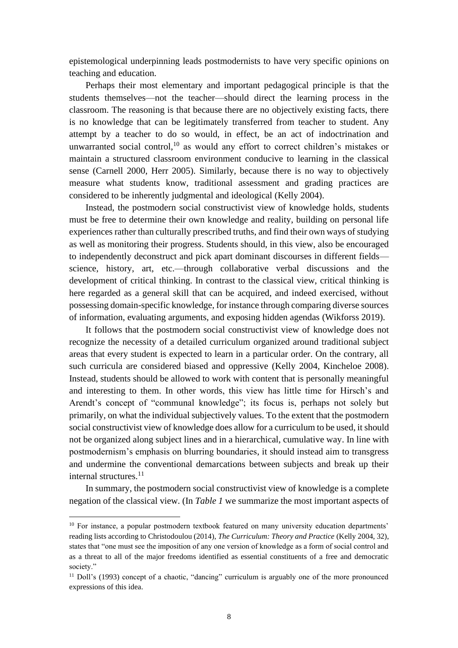epistemological underpinning leads postmodernists to have very specific opinions on teaching and education.

Perhaps their most elementary and important pedagogical principle is that the students themselves—not the teacher—should direct the learning process in the classroom. The reasoning is that because there are no objectively existing facts, there is no knowledge that can be legitimately transferred from teacher to student. Any attempt by a teacher to do so would, in effect, be an act of indoctrination and unwarranted social control, $10$  as would any effort to correct children's mistakes or maintain a structured classroom environment conducive to learning in the classical sense (Carnell 2000, Herr 2005). Similarly, because there is no way to objectively measure what students know, traditional assessment and grading practices are considered to be inherently judgmental and ideological (Kelly 2004).

Instead, the postmodern social constructivist view of knowledge holds, students must be free to determine their own knowledge and reality, building on personal life experiences rather than culturally prescribed truths, and find their own ways of studying as well as monitoring their progress. Students should, in this view, also be encouraged to independently deconstruct and pick apart dominant discourses in different fields science, history, art, etc.—through collaborative verbal discussions and the development of critical thinking. In contrast to the classical view, critical thinking is here regarded as a general skill that can be acquired, and indeed exercised, without possessing domain-specific knowledge, for instance through comparing diverse sources of information, evaluating arguments, and exposing hidden agendas (Wikforss 2019).

It follows that the postmodern social constructivist view of knowledge does not recognize the necessity of a detailed curriculum organized around traditional subject areas that every student is expected to learn in a particular order. On the contrary, all such curricula are considered biased and oppressive (Kelly 2004, Kincheloe 2008). Instead, students should be allowed to work with content that is personally meaningful and interesting to them. In other words, this view has little time for Hirsch's and Arendt's concept of "communal knowledge"; its focus is, perhaps not solely but primarily, on what the individual subjectively values. To the extent that the postmodern social constructivist view of knowledge does allow for a curriculum to be used, it should not be organized along subject lines and in a hierarchical, cumulative way. In line with postmodernism's emphasis on blurring boundaries, it should instead aim to transgress and undermine the conventional demarcations between subjects and break up their internal structures.<sup>11</sup>

In summary, the postmodern social constructivist view of knowledge is a complete negation of the classical view. (In *Table 1* we summarize the most important aspects of

<sup>&</sup>lt;sup>10</sup> For instance, a popular postmodern textbook featured on many university education departments' reading lists according to Christodoulou (2014), *The Curriculum: Theory and Practice* (Kelly 2004, 32), states that "one must see the imposition of any one version of knowledge as a form of social control and as a threat to all of the major freedoms identified as essential constituents of a free and democratic society."

<sup>&</sup>lt;sup>11</sup> Doll's (1993) concept of a chaotic, "dancing" curriculum is arguably one of the more pronounced expressions of this idea.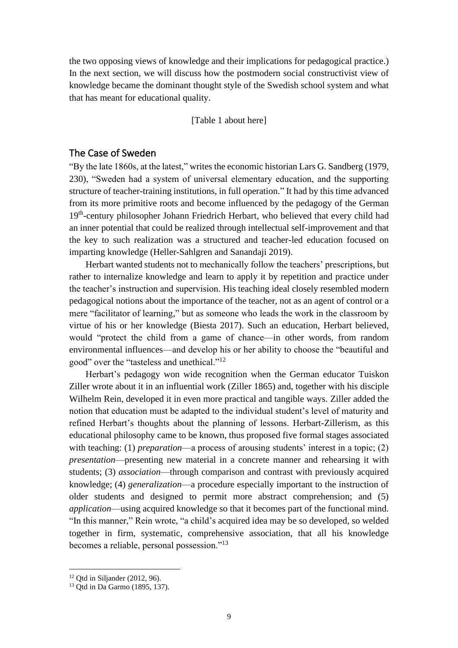the two opposing views of knowledge and their implications for pedagogical practice.) In the next section, we will discuss how the postmodern social constructivist view of knowledge became the dominant thought style of the Swedish school system and what that has meant for educational quality.

[Table 1 about here]

## The Case of Sweden

"By the late 1860s, at the latest," writes the economic historian Lars G. Sandberg (1979, 230), "Sweden had a system of universal elementary education, and the supporting structure of teacher-training institutions, in full operation." It had by this time advanced from its more primitive roots and become influenced by the pedagogy of the German 19<sup>th</sup>-century philosopher Johann Friedrich Herbart, who believed that every child had an inner potential that could be realized through intellectual self-improvement and that the key to such realization was a structured and teacher-led education focused on imparting knowledge (Heller-Sahlgren and Sanandaji 2019).

Herbart wanted students not to mechanically follow the teachers' prescriptions, but rather to internalize knowledge and learn to apply it by repetition and practice under the teacher's instruction and supervision. His teaching ideal closely resembled modern pedagogical notions about the importance of the teacher, not as an agent of control or a mere "facilitator of learning," but as someone who leads the work in the classroom by virtue of his or her knowledge (Biesta 2017). Such an education, Herbart believed, would "protect the child from a game of chance—in other words, from random environmental influences—and develop his or her ability to choose the "beautiful and good" over the "tasteless and unethical."<sup>12</sup>

Herbart's pedagogy won wide recognition when the German educator Tuiskon Ziller wrote about it in an influential work (Ziller 1865) and, together with his disciple Wilhelm Rein, developed it in even more practical and tangible ways. Ziller added the notion that education must be adapted to the individual student's level of maturity and refined Herbart's thoughts about the planning of lessons. Herbart-Zillerism, as this educational philosophy came to be known, thus proposed five formal stages associated with teaching: (1) *preparation*—a process of arousing students' interest in a topic; (2) *presentation*—presenting new material in a concrete manner and rehearsing it with students; (3) *association*—through comparison and contrast with previously acquired knowledge; (4) *generalization*—a procedure especially important to the instruction of older students and designed to permit more abstract comprehension; and (5) *application*—using acquired knowledge so that it becomes part of the functional mind. "In this manner," Rein wrote, "a child's acquired idea may be so developed, so welded together in firm, systematic, comprehensive association, that all his knowledge becomes a reliable, personal possession."<sup>13</sup>

 $12$  Otd in Siljander (2012, 96).

<sup>13</sup> Qtd in Da Garmo (1895, 137).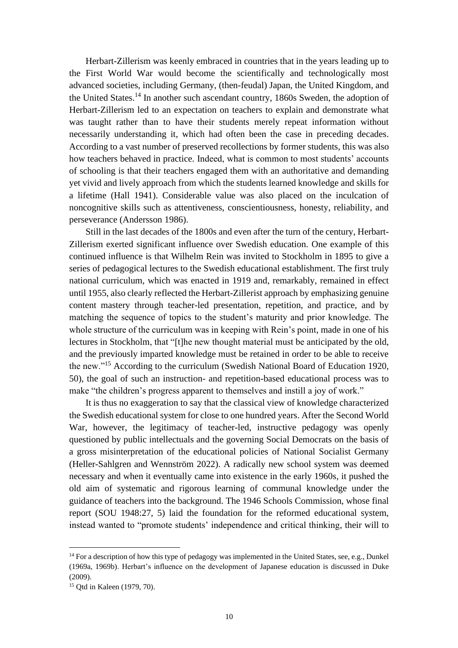Herbart-Zillerism was keenly embraced in countries that in the years leading up to the First World War would become the scientifically and technologically most advanced societies, including Germany, (then-feudal) Japan, the United Kingdom, and the United States.<sup>14</sup> In another such ascendant country, 1860s Sweden, the adoption of Herbart-Zillerism led to an expectation on teachers to explain and demonstrate what was taught rather than to have their students merely repeat information without necessarily understanding it, which had often been the case in preceding decades. According to a vast number of preserved recollections by former students, this was also how teachers behaved in practice. Indeed, what is common to most students' accounts of schooling is that their teachers engaged them with an authoritative and demanding yet vivid and lively approach from which the students learned knowledge and skills for a lifetime (Hall 1941). Considerable value was also placed on the inculcation of noncognitive skills such as attentiveness, conscientiousness, honesty, reliability, and perseverance (Andersson 1986).

Still in the last decades of the 1800s and even after the turn of the century, Herbart-Zillerism exerted significant influence over Swedish education. One example of this continued influence is that Wilhelm Rein was invited to Stockholm in 1895 to give a series of pedagogical lectures to the Swedish educational establishment. The first truly national curriculum, which was enacted in 1919 and, remarkably, remained in effect until 1955, also clearly reflected the Herbart-Zillerist approach by emphasizing genuine content mastery through teacher-led presentation, repetition, and practice, and by matching the sequence of topics to the student's maturity and prior knowledge. The whole structure of the curriculum was in keeping with Rein's point, made in one of his lectures in Stockholm, that "[t]he new thought material must be anticipated by the old, and the previously imparted knowledge must be retained in order to be able to receive the new."<sup>15</sup> According to the curriculum (Swedish National Board of Education 1920, 50), the goal of such an instruction- and repetition-based educational process was to make "the children's progress apparent to themselves and instill a joy of work."

It is thus no exaggeration to say that the classical view of knowledge characterized the Swedish educational system for close to one hundred years. After the Second World War, however, the legitimacy of teacher-led, instructive pedagogy was openly questioned by public intellectuals and the governing Social Democrats on the basis of a gross misinterpretation of the educational policies of National Socialist Germany (Heller-Sahlgren and Wennström 2022). A radically new school system was deemed necessary and when it eventually came into existence in the early 1960s, it pushed the old aim of systematic and rigorous learning of communal knowledge under the guidance of teachers into the background. The 1946 Schools Commission, whose final report (SOU 1948:27, 5) laid the foundation for the reformed educational system, instead wanted to "promote students' independence and critical thinking, their will to

<sup>&</sup>lt;sup>14</sup> For a description of how this type of pedagogy was implemented in the United States, see, e.g., Dunkel (1969a, 1969b). Herbart's influence on the development of Japanese education is discussed in Duke (2009).

<sup>15</sup> Qtd in Kaleen (1979, 70).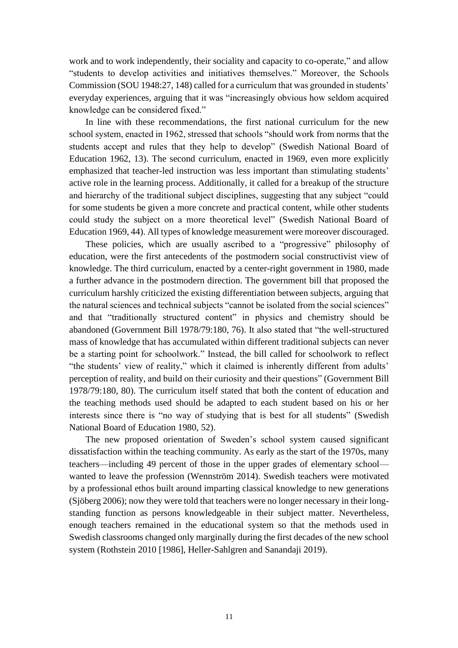work and to work independently, their sociality and capacity to co-operate," and allow "students to develop activities and initiatives themselves." Moreover, the Schools Commission (SOU 1948:27, 148) called for a curriculum that was grounded in students' everyday experiences, arguing that it was "increasingly obvious how seldom acquired knowledge can be considered fixed."

In line with these recommendations, the first national curriculum for the new school system, enacted in 1962, stressed that schools "should work from norms that the students accept and rules that they help to develop" (Swedish National Board of Education 1962, 13). The second curriculum, enacted in 1969, even more explicitly emphasized that teacher-led instruction was less important than stimulating students' active role in the learning process. Additionally, it called for a breakup of the structure and hierarchy of the traditional subject disciplines, suggesting that any subject "could for some students be given a more concrete and practical content, while other students could study the subject on a more theoretical level" (Swedish National Board of Education 1969, 44). All types of knowledge measurement were moreover discouraged.

These policies, which are usually ascribed to a "progressive" philosophy of education, were the first antecedents of the postmodern social constructivist view of knowledge. The third curriculum, enacted by a center-right government in 1980, made a further advance in the postmodern direction. The government bill that proposed the curriculum harshly criticized the existing differentiation between subjects, arguing that the natural sciences and technical subjects "cannot be isolated from the social sciences" and that "traditionally structured content" in physics and chemistry should be abandoned (Government Bill 1978/79:180, 76). It also stated that "the well-structured mass of knowledge that has accumulated within different traditional subjects can never be a starting point for schoolwork." Instead, the bill called for schoolwork to reflect "the students' view of reality," which it claimed is inherently different from adults' perception of reality, and build on their curiosity and their questions" (Government Bill 1978/79:180, 80). The curriculum itself stated that both the content of education and the teaching methods used should be adapted to each student based on his or her interests since there is "no way of studying that is best for all students" (Swedish National Board of Education 1980, 52).

The new proposed orientation of Sweden's school system caused significant dissatisfaction within the teaching community. As early as the start of the 1970s, many teachers—including 49 percent of those in the upper grades of elementary school wanted to leave the profession (Wennström 2014). Swedish teachers were motivated by a professional ethos built around imparting classical knowledge to new generations (Sjöberg 2006); now they were told that teachers were no longer necessary in their longstanding function as persons knowledgeable in their subject matter. Nevertheless, enough teachers remained in the educational system so that the methods used in Swedish classrooms changed only marginally during the first decades of the new school system (Rothstein 2010 [1986], Heller-Sahlgren and Sanandaji 2019).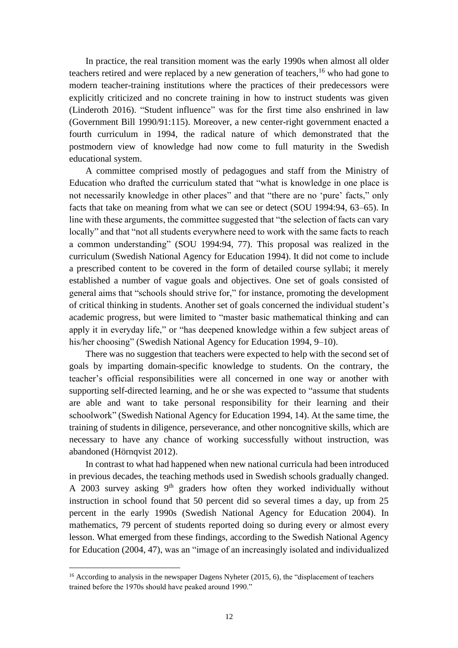In practice, the real transition moment was the early 1990s when almost all older teachers retired and were replaced by a new generation of teachers, <sup>16</sup> who had gone to modern teacher-training institutions where the practices of their predecessors were explicitly criticized and no concrete training in how to instruct students was given (Linderoth 2016). "Student influence" was for the first time also enshrined in law (Government Bill 1990/91:115). Moreover, a new center-right government enacted a fourth curriculum in 1994, the radical nature of which demonstrated that the postmodern view of knowledge had now come to full maturity in the Swedish educational system.

A committee comprised mostly of pedagogues and staff from the Ministry of Education who drafted the curriculum stated that "what is knowledge in one place is not necessarily knowledge in other places" and that "there are no 'pure' facts," only facts that take on meaning from what we can see or detect (SOU 1994:94, 63–65). In line with these arguments, the committee suggested that "the selection of facts can vary locally" and that "not all students everywhere need to work with the same facts to reach a common understanding" (SOU 1994:94, 77). This proposal was realized in the curriculum (Swedish National Agency for Education 1994). It did not come to include a prescribed content to be covered in the form of detailed course syllabi; it merely established a number of vague goals and objectives. One set of goals consisted of general aims that "schools should strive for," for instance, promoting the development of critical thinking in students. Another set of goals concerned the individual student's academic progress, but were limited to "master basic mathematical thinking and can apply it in everyday life," or "has deepened knowledge within a few subject areas of his/her choosing" (Swedish National Agency for Education 1994, 9–10).

There was no suggestion that teachers were expected to help with the second set of goals by imparting domain-specific knowledge to students. On the contrary, the teacher's official responsibilities were all concerned in one way or another with supporting self-directed learning, and he or she was expected to "assume that students are able and want to take personal responsibility for their learning and their schoolwork" (Swedish National Agency for Education 1994, 14). At the same time, the training of students in diligence, perseverance, and other noncognitive skills, which are necessary to have any chance of working successfully without instruction, was abandoned (Hörnqvist 2012).

In contrast to what had happened when new national curricula had been introduced in previous decades, the teaching methods used in Swedish schools gradually changed. A 2003 survey asking 9<sup>th</sup> graders how often they worked individually without instruction in school found that 50 percent did so several times a day, up from 25 percent in the early 1990s (Swedish National Agency for Education 2004). In mathematics, 79 percent of students reported doing so during every or almost every lesson. What emerged from these findings, according to the Swedish National Agency for Education (2004, 47), was an "image of an increasingly isolated and individualized

<sup>&</sup>lt;sup>16</sup> According to analysis in the newspaper Dagens Nyheter (2015, 6), the "displacement of teachers trained before the 1970s should have peaked around 1990."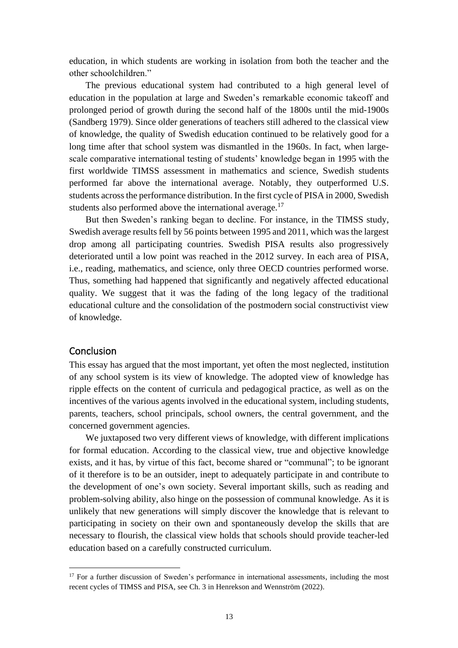education, in which students are working in isolation from both the teacher and the other schoolchildren."

The previous educational system had contributed to a high general level of education in the population at large and Sweden's remarkable economic takeoff and prolonged period of growth during the second half of the 1800s until the mid-1900s (Sandberg 1979). Since older generations of teachers still adhered to the classical view of knowledge, the quality of Swedish education continued to be relatively good for a long time after that school system was dismantled in the 1960s. In fact, when largescale comparative international testing of students' knowledge began in 1995 with the first worldwide TIMSS assessment in mathematics and science, Swedish students performed far above the international average. Notably, they outperformed U.S. students across the performance distribution. In the first cycle of PISA in 2000, Swedish students also performed above the international average.<sup>17</sup>

But then Sweden's ranking began to decline. For instance, in the TIMSS study, Swedish average results fell by 56 points between 1995 and 2011, which was the largest drop among all participating countries. Swedish PISA results also progressively deteriorated until a low point was reached in the 2012 survey. In each area of PISA, i.e., reading, mathematics, and science, only three OECD countries performed worse. Thus, something had happened that significantly and negatively affected educational quality. We suggest that it was the fading of the long legacy of the traditional educational culture and the consolidation of the postmodern social constructivist view of knowledge.

### **Conclusion**

This essay has argued that the most important, yet often the most neglected, institution of any school system is its view of knowledge. The adopted view of knowledge has ripple effects on the content of curricula and pedagogical practice, as well as on the incentives of the various agents involved in the educational system, including students, parents, teachers, school principals, school owners, the central government, and the concerned government agencies.

We juxtaposed two very different views of knowledge, with different implications for formal education. According to the classical view, true and objective knowledge exists, and it has, by virtue of this fact, become shared or "communal"; to be ignorant of it therefore is to be an outsider, inept to adequately participate in and contribute to the development of one's own society. Several important skills, such as reading and problem-solving ability, also hinge on the possession of communal knowledge. As it is unlikely that new generations will simply discover the knowledge that is relevant to participating in society on their own and spontaneously develop the skills that are necessary to flourish, the classical view holds that schools should provide teacher-led education based on a carefully constructed curriculum.

 $17$  For a further discussion of Sweden's performance in international assessments, including the most recent cycles of TIMSS and PISA, see Ch. 3 in Henrekson and Wennström (2022).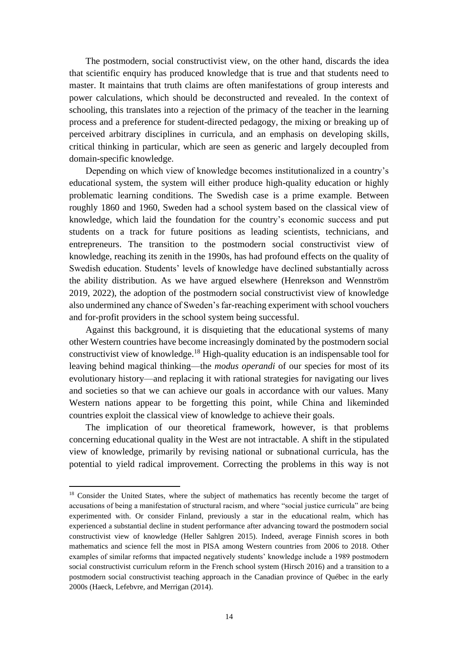The postmodern, social constructivist view, on the other hand, discards the idea that scientific enquiry has produced knowledge that is true and that students need to master. It maintains that truth claims are often manifestations of group interests and power calculations, which should be deconstructed and revealed. In the context of schooling, this translates into a rejection of the primacy of the teacher in the learning process and a preference for student-directed pedagogy, the mixing or breaking up of perceived arbitrary disciplines in curricula, and an emphasis on developing skills, critical thinking in particular, which are seen as generic and largely decoupled from domain-specific knowledge.

Depending on which view of knowledge becomes institutionalized in a country's educational system, the system will either produce high-quality education or highly problematic learning conditions. The Swedish case is a prime example. Between roughly 1860 and 1960, Sweden had a school system based on the classical view of knowledge, which laid the foundation for the country's economic success and put students on a track for future positions as leading scientists, technicians, and entrepreneurs. The transition to the postmodern social constructivist view of knowledge, reaching its zenith in the 1990s, has had profound effects on the quality of Swedish education. Students' levels of knowledge have declined substantially across the ability distribution. As we have argued elsewhere (Henrekson and Wennström 2019, 2022), the adoption of the postmodern social constructivist view of knowledge also undermined any chance of Sweden's far-reaching experiment with school vouchers and for-profit providers in the school system being successful.

Against this background, it is disquieting that the educational systems of many other Western countries have become increasingly dominated by the postmodern social constructivist view of knowledge.<sup>18</sup> High-quality education is an indispensable tool for leaving behind magical thinking—the *modus operandi* of our species for most of its evolutionary history—and replacing it with rational strategies for navigating our lives and societies so that we can achieve our goals in accordance with our values. Many Western nations appear to be forgetting this point, while China and likeminded countries exploit the classical view of knowledge to achieve their goals.

The implication of our theoretical framework, however, is that problems concerning educational quality in the West are not intractable. A shift in the stipulated view of knowledge, primarily by revising national or subnational curricula, has the potential to yield radical improvement. Correcting the problems in this way is not

<sup>&</sup>lt;sup>18</sup> Consider the United States, where the subject of mathematics has recently become the target of accusations of being a manifestation of structural racism, and where "social justice curricula" are being experimented with. Or consider Finland, previously a star in the educational realm, which has experienced a substantial decline in student performance after advancing toward the postmodern social constructivist view of knowledge (Heller Sahlgren 2015). Indeed, average Finnish scores in both mathematics and science fell the most in PISA among Western countries from 2006 to 2018. Other examples of similar reforms that impacted negatively students' knowledge include a 1989 postmodern social constructivist curriculum reform in the French school system (Hirsch 2016) and a transition to a postmodern social constructivist teaching approach in the Canadian province of Québec in the early 2000s (Haeck, Lefebvre, and Merrigan (2014).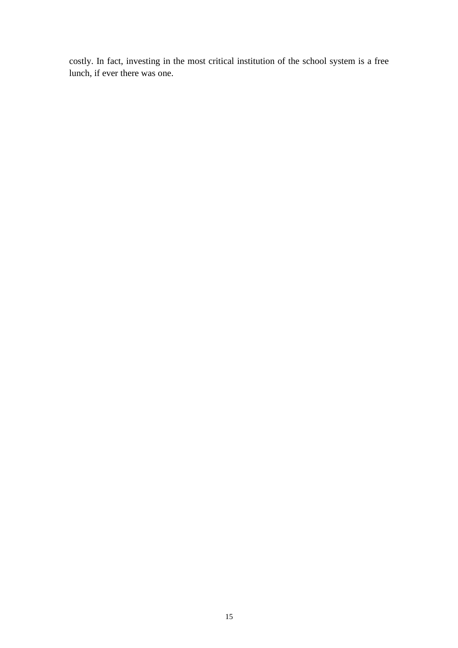costly. In fact, investing in the most critical institution of the school system is a free lunch, if ever there was one.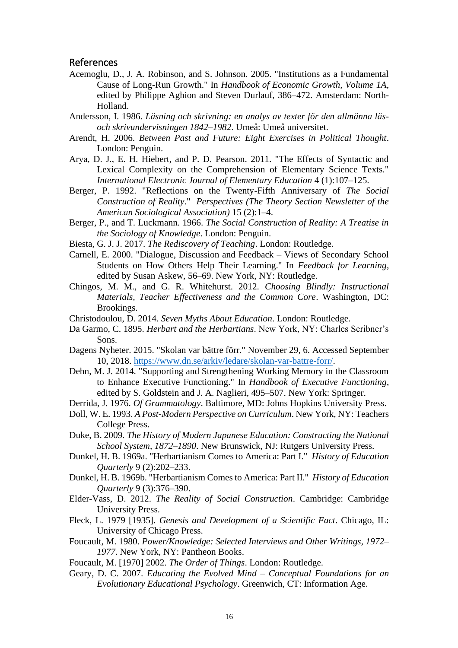#### References

- Acemoglu, D., J. A. Robinson, and S. Johnson. 2005. "Institutions as a Fundamental Cause of Long-Run Growth." In *Handbook of Economic Growth, Volume 1A*, edited by Philippe Aghion and Steven Durlauf, 386–472. Amsterdam: North-Holland.
- Andersson, I. 1986. *Läsning och skrivning: en analys av texter för den allmänna läsoch skrivundervisningen 1842–1982*. Umeå: Umeå universitet.
- Arendt, H. 2006. *Between Past and Future: Eight Exercises in Political Thought*. London: Penguin.
- Arya, D. J., E. H. Hiebert, and P. D. Pearson. 2011. "The Effects of Syntactic and Lexical Complexity on the Comprehension of Elementary Science Texts." *International Electronic Journal of Elementary Education* 4 (1):107–125.
- Berger, P. 1992. "Reflections on the Twenty-Fifth Anniversary of *The Social Construction of Reality*." *Perspectives (The Theory Section Newsletter of the American Sociological Association)* 15 (2):1–4.
- Berger, P., and T. Luckmann. 1966. *The Social Construction of Reality: A Treatise in the Sociology of Knowledge*. London: Penguin.
- Biesta, G. J. J. 2017. *The Rediscovery of Teaching*. London: Routledge.
- Carnell, E. 2000. "Dialogue, Discussion and Feedback Views of Secondary School Students on How Others Help Their Learning." In *Feedback for Learning*, edited by Susan Askew, 56–69. New York, NY: Routledge.
- Chingos, M. M., and G. R. Whitehurst. 2012. *Choosing Blindly: Instructional Materials, Teacher Effectiveness and the Common Core*. Washington, DC: Brookings.
- Christodoulou, D. 2014. *Seven Myths About Education*. London: Routledge.
- Da Garmo, C. 1895. *Herbart and the Herbartians*. New York, NY: Charles Scribner's Sons.
- Dagens Nyheter. 2015. "Skolan var bättre förr." November 29, 6. Accessed September 10, 2018. [https://www.dn.se/arkiv/ledare/skolan-var-battre-forr/.](https://www.dn.se/arkiv/ledare/skolan-var-battre-forr/)
- Dehn, M. J. 2014. "Supporting and Strengthening Working Memory in the Classroom to Enhance Executive Functioning." In *Handbook of Executive Functioning*, edited by S. Goldstein and J. A. Naglieri, 495–507. New York: Springer.
- Derrida, J. 1976. *Of Grammatology*. Baltimore, MD: Johns Hopkins University Press.
- Doll, W. E. 1993. *A Post-Modern Perspective on Curriculum*. New York, NY: Teachers College Press.
- Duke, B. 2009. *The History of Modern Japanese Education: Constructing the National School System, 1872–1890*. New Brunswick, NJ: Rutgers University Press.
- Dunkel, H. B. 1969a. "Herbartianism Comes to America: Part I." *History of Education Quarterly* 9 (2):202–233.
- Dunkel, H. B. 1969b. "Herbartianism Comes to America: Part II." *History of Education Quarterly* 9 (3):376–390.
- Elder-Vass, D. 2012. *The Reality of Social Construction*. Cambridge: Cambridge University Press.
- Fleck, L. 1979 [1935]. *Genesis and Development of a Scientific Fact*. Chicago, IL: University of Chicago Press.
- Foucault, M. 1980. *Power/Knowledge: Selected Interviews and Other Writings, 1972– 1977*. New York, NY: Pantheon Books.
- Foucault, M. [1970] 2002. *The Order of Things*. London: Routledge.
- Geary, D. C. 2007. *Educating the Evolved Mind – Conceptual Foundations for an Evolutionary Educational Psychology*. Greenwich, CT: Information Age.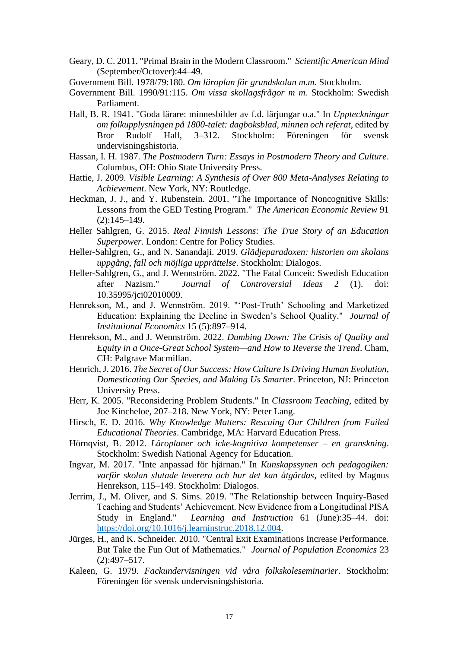- Geary, D. C. 2011. "Primal Brain in the Modern Classroom." *Scientific American Mind* (September/Octover):44–49.
- Government Bill. 1978/79:180. *Om läroplan för grundskolan m.m.* Stockholm.
- Government Bill. 1990/91:115. *Om vissa skollagsfrågor m m.* Stockholm: Swedish Parliament.
- Hall, B. R. 1941. "Goda lärare: minnesbilder av f.d. lärjungar o.a." In *Uppteckningar om folkupplysningen på 1800-talet: dagboksblad, minnen och referat*, edited by Bror Rudolf Hall, 3–312. Stockholm: Föreningen för svensk undervisningshistoria.
- Hassan, I. H. 1987. *The Postmodern Turn: Essays in Postmodern Theory and Culture*. Columbus, OH: Ohio State University Press.
- Hattie, J. 2009. *Visible Learning: A Synthesis of Over 800 Meta-Analyses Relating to Achievement*. New York, NY: Routledge.
- Heckman, J. J., and Y. Rubenstein. 2001. "The Importance of Noncognitive Skills: Lessons from the GED Testing Program." *The American Economic Review* 91 (2):145–149.
- Heller Sahlgren, G. 2015. *Real Finnish Lessons: The True Story of an Education Superpower*. London: Centre for Policy Studies.
- Heller-Sahlgren, G., and N. Sanandaji. 2019. *Glädjeparadoxen: historien om skolans uppgång, fall och möjliga upprättelse*. Stockholm: Dialogos.
- Heller-Sahlgren, G., and J. Wennström. 2022. "The Fatal Conceit: Swedish Education after Nazism." *Journal of Controversial Ideas* 2 (1). doi: 10.35995/jci02010009.
- Henrekson, M., and J. Wennström. 2019. "'Post-Truth' Schooling and Marketized Education: Explaining the Decline in Sweden's School Quality." *Journal of Institutional Economics* 15 (5):897–914.
- Henrekson, M., and J. Wennström. 2022. *Dumbing Down: The Crisis of Quality and Equity in a Once-Great School System—and How to Reverse the Trend*. Cham, CH: Palgrave Macmillan.
- Henrich, J. 2016. *The Secret of Our Success: How Culture Is Driving Human Evolution, Domesticating Our Species, and Making Us Smarter*. Princeton, NJ: Princeton University Press.
- Herr, K. 2005. "Reconsidering Problem Students." In *Classroom Teaching*, edited by Joe Kincheloe, 207–218. New York, NY: Peter Lang.
- Hirsch, E. D. 2016. *Why Knowledge Matters: Rescuing Our Children from Failed Educational Theories*. Cambridge, MA: Harvard Education Press.
- Hörnqvist, B. 2012. *Läroplaner och icke-kognitiva kompetenser – en granskning*. Stockholm: Swedish National Agency for Education.
- Ingvar, M. 2017. "Inte anpassad för hjärnan." In *Kunskapssynen och pedagogiken: varför skolan slutade leverera och hur det kan åtgärdas*, edited by Magnus Henrekson, 115–149. Stockholm: Dialogos.
- Jerrim, J., M. Oliver, and S. Sims. 2019. "The Relationship between Inquiry-Based Teaching and Students' Achievement. New Evidence from a Longitudinal PISA Study in England." *Learning and Instruction* 61 (June):35–44. doi: [https://doi.org/10.1016/j.learninstruc.2018.12.004.](https://doi.org/10.1016/j.learninstruc.2018.12.004)
- Jürges, H., and K. Schneider. 2010. "Central Exit Examinations Increase Performance. But Take the Fun Out of Mathematics." *Journal of Population Economics* 23 (2):497–517.
- Kaleen, G. 1979. *Fackundervisningen vid våra folkskoleseminarier*. Stockholm: Föreningen för svensk undervisningshistoria.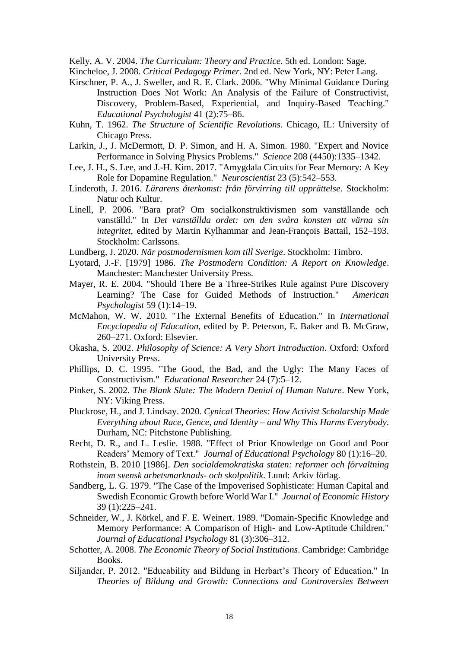Kelly, A. V. 2004. *The Curriculum: Theory and Practice*. 5th ed. London: Sage.

- Kincheloe, J. 2008. *Critical Pedagogy Primer*. 2nd ed. New York, NY: Peter Lang.
- Kirschner, P. A., J. Sweller, and R. E. Clark. 2006. "Why Minimal Guidance During Instruction Does Not Work: An Analysis of the Failure of Constructivist, Discovery, Problem-Based, Experiential, and Inquiry-Based Teaching." *Educational Psychologist* 41 (2):75–86.
- Kuhn, T. 1962. *The Structure of Scientific Revolutions*. Chicago, IL: University of Chicago Press.
- Larkin, J., J. McDermott, D. P. Simon, and H. A. Simon. 1980. "Expert and Novice Performance in Solving Physics Problems." *Science* 208 (4450):1335–1342.
- Lee, J. H., S. Lee, and J.-H. Kim. 2017. "Amygdala Circuits for Fear Memory: A Key Role for Dopamine Regulation." *Neuroscientist* 23 (5):542–553.
- Linderoth, J. 2016. *Lärarens återkomst: från förvirring till upprättelse*. Stockholm: Natur och Kultur.
- Linell, P. 2006. "Bara prat? Om socialkonstruktivismen som vanställande och vanställd." In *Det vanställda ordet: om den svåra konsten att värna sin integritet*, edited by Martin Kylhammar and Jean-François Battail, 152–193. Stockholm: Carlssons.
- Lundberg, J. 2020. *När postmodernismen kom till Sverige*. Stockholm: Timbro.
- Lyotard, J.-F. [1979] 1986. *The Postmodern Condition: A Report on Knowledge*. Manchester: Manchester University Press.
- Mayer, R. E. 2004. "Should There Be a Three-Strikes Rule against Pure Discovery Learning? The Case for Guided Methods of Instruction." *American Psychologist* 59 (1):14–19.
- McMahon, W. W. 2010. "The External Benefits of Education." In *International Encyclopedia of Education*, edited by P. Peterson, E. Baker and B. McGraw, 260–271. Oxford: Elsevier.
- Okasha, S. 2002. *Philosophy of Science: A Very Short Introduction*. Oxford: Oxford University Press.
- Phillips, D. C. 1995. "The Good, the Bad, and the Ugly: The Many Faces of Constructivism." *Educational Researcher* 24 (7):5–12.
- Pinker, S. 2002. *The Blank Slate: The Modern Denial of Human Nature*. New York, NY: Viking Press.
- Pluckrose, H., and J. Lindsay. 2020. *Cynical Theories: How Activist Scholarship Made Everything about Race, Gence, and Identity – and Why This Harms Everybody*. Durham, NC: Pitchstone Publishing.
- Recht, D. R., and L. Leslie. 1988. "Effect of Prior Knowledge on Good and Poor Readers' Memory of Text." *Journal of Educational Psychology* 80 (1):16–20.
- Rothstein, B. 2010 [1986]. *Den socialdemokratiska staten: reformer och förvaltning inom svensk arbetsmarknads- och skolpolitik*. Lund: Arkiv förlag.
- Sandberg, L. G. 1979. "The Case of the Impoverised Sophisticate: Human Capital and Swedish Economic Growth before World War I." *Journal of Economic History* 39 (1):225–241.
- Schneider, W., J. Körkel, and F. E. Weinert. 1989. "Domain-Specific Knowledge and Memory Performance: A Comparison of High- and Low-Aptitude Children." *Journal of Educational Psychology* 81 (3):306–312.
- Schotter, A. 2008. *The Economic Theory of Social Institutions*. Cambridge: Cambridge Books.
- Siljander, P. 2012. "Educability and Bildung in Herbart's Theory of Education." In *Theories of Bildung and Growth: Connections and Controversies Between*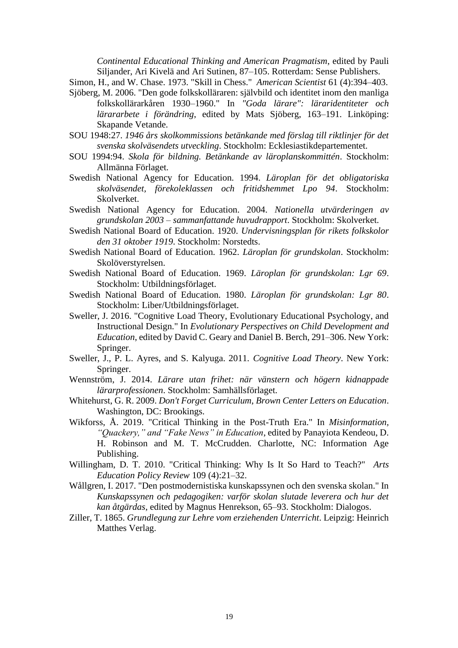*Continental Educational Thinking and American Pragmatism*, edited by Pauli Siljander, Ari Kivelä and Ari Sutinen, 87–105. Rotterdam: Sense Publishers.

Simon, H., and W. Chase. 1973. "Skill in Chess." *American Scientist* 61 (4):394–403.

- Sjöberg, M. 2006. "Den gode folkskolläraren: självbild och identitet inom den manliga folkskollärarkåren 1930–1960." In *"Goda lärare": läraridentiteter och lärararbete i förändring*, edited by Mats Sjöberg, 163–191. Linköping: Skapande Vetande.
- SOU 1948:27. *1946 års skolkommissions betänkande med förslag till riktlinjer för det svenska skolväsendets utveckling*. Stockholm: Ecklesiastikdepartementet.
- SOU 1994:94. *Skola för bildning. Betänkande av läroplanskommittén*. Stockholm: Allmänna Förlaget.
- Swedish National Agency for Education. 1994. *Läroplan för det obligatoriska skolväsendet, förekoleklassen och fritidshemmet Lpo 94*. Stockholm: Skolverket.
- Swedish National Agency for Education. 2004. *Nationella utvärderingen av grundskolan 2003 – sammanfattande huvudrapport*. Stockholm: Skolverket.
- Swedish National Board of Education. 1920. *Undervisningsplan för rikets folkskolor den 31 oktober 1919*. Stockholm: Norstedts.
- Swedish National Board of Education. 1962. *Läroplan för grundskolan*. Stockholm: Skolöverstyrelsen.
- Swedish National Board of Education. 1969. *Läroplan för grundskolan: Lgr 69*. Stockholm: Utbildningsförlaget.
- Swedish National Board of Education. 1980. *Läroplan för grundskolan: Lgr 80*. Stockholm: Liber/Utbildningsförlaget.
- Sweller, J. 2016. "Cognitive Load Theory, Evolutionary Educational Psychology, and Instructional Design." In *Evolutionary Perspectives on Child Development and Education*, edited by David C. Geary and Daniel B. Berch, 291–306. New York: Springer.
- Sweller, J., P. L. Ayres, and S. Kalyuga. 2011. *Cognitive Load Theory*. New York: Springer.
- Wennström, J. 2014. *Lärare utan frihet: när vänstern och högern kidnappade lärarprofessionen*. Stockholm: Samhällsförlaget.
- Whitehurst, G. R. 2009. *Don't Forget Curriculum*, *Brown Center Letters on Education*. Washington, DC: Brookings.
- Wikforss, Å. 2019. "Critical Thinking in the Post-Truth Era." In *Misinformation, "Quackery," and "Fake News" in Education*, edited by Panayiota Kendeou, D. H. Robinson and M. T. McCrudden. Charlotte, NC: Information Age Publishing.
- Willingham, D. T. 2010. "Critical Thinking: Why Is It So Hard to Teach?" *Arts Education Policy Review* 109 (4):21–32.
- Wållgren, I. 2017. "Den postmodernistiska kunskapssynen och den svenska skolan." In *Kunskapssynen och pedagogiken: varför skolan slutade leverera och hur det kan åtgärdas*, edited by Magnus Henrekson, 65–93. Stockholm: Dialogos.
- Ziller, T. 1865. *Grundlegung zur Lehre vom erziehenden Unterricht*. Leipzig: Heinrich Matthes Verlag.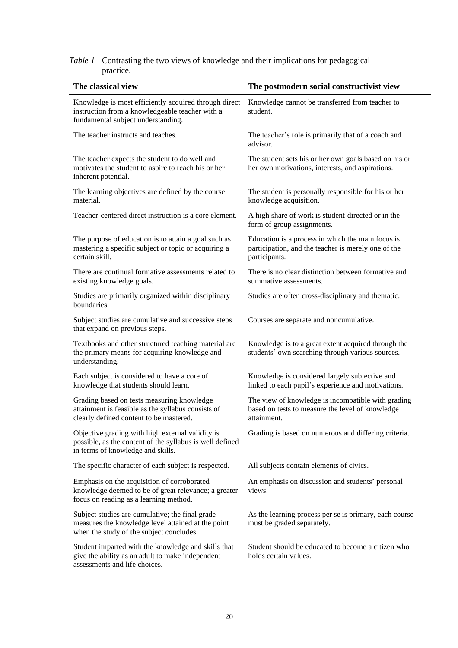| The classical view                                                                                                                                | The postmodern social constructivist view                                                                                 |
|---------------------------------------------------------------------------------------------------------------------------------------------------|---------------------------------------------------------------------------------------------------------------------------|
| Knowledge is most efficiently acquired through direct<br>instruction from a knowledgeable teacher with a<br>fundamental subject understanding.    | Knowledge cannot be transferred from teacher to<br>student.                                                               |
| The teacher instructs and teaches.                                                                                                                | The teacher's role is primarily that of a coach and<br>advisor.                                                           |
| The teacher expects the student to do well and<br>motivates the student to aspire to reach his or her<br>inherent potential.                      | The student sets his or her own goals based on his or<br>her own motivations, interests, and aspirations.                 |
| The learning objectives are defined by the course<br>material.                                                                                    | The student is personally responsible for his or her<br>knowledge acquisition.                                            |
| Teacher-centered direct instruction is a core element.                                                                                            | A high share of work is student-directed or in the<br>form of group assignments.                                          |
| The purpose of education is to attain a goal such as<br>mastering a specific subject or topic or acquiring a<br>certain skill.                    | Education is a process in which the main focus is<br>participation, and the teacher is merely one of the<br>participants. |
| There are continual formative assessments related to<br>existing knowledge goals.                                                                 | There is no clear distinction between formative and<br>summative assessments.                                             |
| Studies are primarily organized within disciplinary<br>boundaries.                                                                                | Studies are often cross-disciplinary and thematic.                                                                        |
| Subject studies are cumulative and successive steps<br>that expand on previous steps.                                                             | Courses are separate and noncumulative.                                                                                   |
| Textbooks and other structured teaching material are<br>the primary means for acquiring knowledge and<br>understanding.                           | Knowledge is to a great extent acquired through the<br>students' own searching through various sources.                   |
| Each subject is considered to have a core of<br>knowledge that students should learn.                                                             | Knowledge is considered largely subjective and<br>linked to each pupil's experience and motivations.                      |
| Grading based on tests measuring knowledge<br>attainment is feasible as the syllabus consists of<br>clearly defined content to be mastered.       | The view of knowledge is incompatible with grading<br>based on tests to measure the level of knowledge<br>attainment.     |
| Objective grading with high external validity is<br>possible, as the content of the syllabus is well defined<br>in terms of knowledge and skills. | Grading is based on numerous and differing criteria.                                                                      |
| The specific character of each subject is respected.                                                                                              | All subjects contain elements of civics.                                                                                  |
| Emphasis on the acquisition of corroborated<br>knowledge deemed to be of great relevance; a greater<br>focus on reading as a learning method.     | An emphasis on discussion and students' personal<br>views.                                                                |
| Subject studies are cumulative; the final grade<br>measures the knowledge level attained at the point<br>when the study of the subject concludes. | As the learning process per se is primary, each course<br>must be graded separately.                                      |
| Student imparted with the knowledge and skills that<br>give the ability as an adult to make independent<br>assessments and life choices.          | Student should be educated to become a citizen who<br>holds certain values.                                               |

## *Table 1* Contrasting the two views of knowledge and their implications for pedagogical practice.